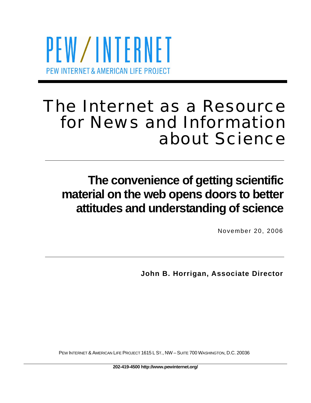

# The Internet as a Resource for News and Information about Science

# **The convenience of getting scientific material on the web opens doors to better attitudes and understanding of science**

November 20, 2006

**John B. Horrigan, Associate Director** 

PEW INTERNET & AMERICAN LIFE PROJECT 1615 L ST., NW – SUITE 700 WASHINGTON, D.C. 20036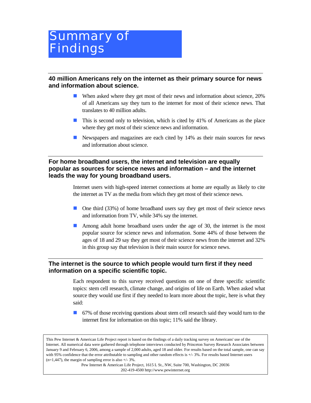# Summary of **Findings**

**40 million Americans rely on the internet as their primary source for news and information about science.** 

- When asked where they get most of their news and information about science, 20% of all Americans say they turn to the internet for most of their science news. That translates to 40 million adults.
- $\blacksquare$  This is second only to television, which is cited by 41% of Americans as the place where they get most of their science news and information.
- Newspapers and magazines are each cited by 14% as their main sources for news and information about science.

#### **For home broadband users, the internet and television are equally popular as sources for science news and information – and the internet leads the way for young broadband users.**

Internet users with high-speed internet connections at home are equally as likely to cite the internet as TV as the media from which they get most of their science news.

- One third (33%) of home broadband users say they get most of their science news and information from TV, while 34% say the internet.
- Among adult home broadband users under the age of 30, the internet is the most popular source for science news and information. Some 44% of those between the ages of 18 and 29 say they get most of their science news from the internet and 32% in this group say that television is their main source for science news.

#### **The internet is the source to which people would turn first if they need information on a specific scientific topic.**

Each respondent to this survey received questions on one of three specific scientific topics: stem cell research, climate change, and origins of life on Earth. When asked what source they would use first if they needed to learn more about the topic, here is what they said:

67% of those receiving questions about stem cell research said they would turn to the internet first for information on this topic; 11% said the library.

This Pew Internet & American Life Project report is based on the findings of a daily tracking survey on Americans' use of the Internet. All numerical data were gathered through telephone interviews conducted by Princeton Survey Research Associates between January 9 and February 6, 2006, among a sample of 2,000 adults, aged 18 and older. For results based on the total sample, one can say with 95% confidence that the error attributable to sampling and other random effects is  $+/- 3\%$ . For results based Internet users  $(n=1,447)$ , the margin of sampling error is also  $+/- 3\%$ .

> Pew Internet & American Life Project, 1615 L St., NW, Suite 700, Washington, DC 20036 202-419-4500 http://www.pewinternet.org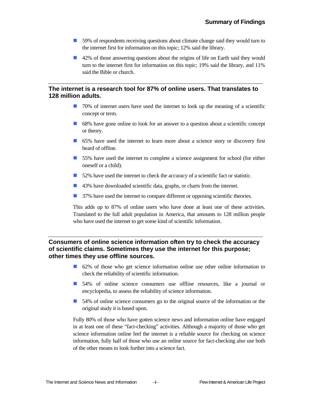- 59% of respondents receiving questions about climate change said they would turn to the internet first for information on this topic; 12% said the library.
- 42% of those answering questions about the origins of life on Earth said they would turn to the internet first for information on this topic; 19% said the library, and 11% said the Bible or church.

#### **The internet is a research tool for 87% of online users. That translates to 128 million adults.**

- $\Box$  70% of internet users have used the internet to look up the meaning of a scientific concept or term.
- 68% have gone online to look for an answer to a question about a scientific concept or theory.
- 65% have used the internet to learn more about a science story or discovery first heard of offline.
- 55% have used the internet to complete a science assignment for school (for either oneself or a child).
- 52% have used the internet to check the accuracy of a scientific fact or statistic.
- 43% have downloaded scientific data, graphs, or charts from the internet.
- 37% have used the internet to compare different or opposing scientific theories.

This adds up to 87% of online users who have done at least one of these activities. Translated to the full adult population in America, that amounts to 128 million people who have used the internet to get some kind of scientific information.

#### **Consumers of online science information often try to check the accuracy of scientific claims. Sometimes they use the internet for this purpose; other times they use offline sources.**

- 62% of those who get science information online use other online information to check the reliability of scientific information.
- 54% of online science consumers use offline resources, like a journal or encyclopedia, to assess the reliability of science information.
- 54% of online science consumers go to the original source of the information or the original study it is based upon.

Fully 80% of those who have gotten science news and information online have engaged in at least one of these "fact-checking" activities. Although a majority of those who get science information online feel the internet is a reliable source for checking on science information, fully half of those who use an online source for fact-checking also use both of the other means to look further into a science fact.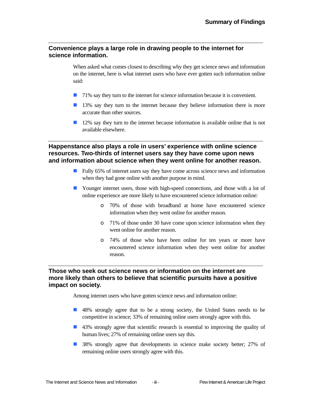#### **Convenience plays a large role in drawing people to the internet for science information.**

When asked what comes closest to describing why they get science news and information on the internet, here is what internet users who have ever gotten such information online said:

- 71% say they turn to the internet for science information because it is convenient.
- 13% say they turn to the internet because they believe information there is more accurate than other sources.
- 12% say they turn to the internet because information is available online that is not available elsewhere.

#### **Happenstance also plays a role in users' experience with online science resources. Two-thirds of internet users say they have come upon news and information about science when they went online for another reason.**

- **Fully 65% of internet users say they have come across science news and information** when they had gone online with another purpose in mind.
- Younger internet users, those with high-speed connections, and those with a lot of online experience are more likely to have encountered science information online:
	- o 70% of those with broadband at home have encountered science information when they went online for another reason.
	- o 71% of those under 30 have come upon science information when they went online for another reason.
	- o 74% of those who have been online for ten years or more have encountered science information when they went online for another reason.

#### **Those who seek out science news or information on the internet are more likely than others to believe that scientific pursuits have a positive impact on society.**

Among internet users who have gotten science news and information online:

- 48% strongly agree that to be a strong society, the United States needs to be competitive in science; 33% of remaining online users strongly agree with this.
- 43% strongly agree that scientific research is essential to improving the quality of human lives; 27% of remaining online users say this.
- 38% strongly agree that developments in science make society better; 27% of remaining online users strongly agree with this.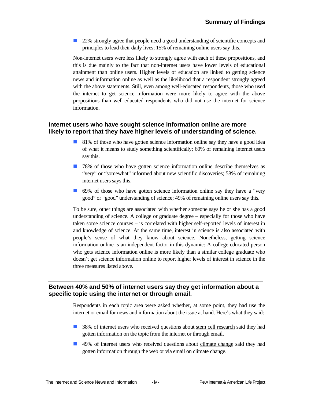22% strongly agree that people need a good understanding of scientific concepts and principles to lead their daily lives; 15% of remaining online users say this.

Non-internet users were less likely to strongly agree with each of these propositions, and this is due mainly to the fact that non-internet users have lower levels of educational attainment than online users. Higher levels of education are linked to getting science news and information online as well as the likelihood that a respondent strongly agreed with the above statements. Still, even among well-educated respondents, those who used the internet to get science information were more likely to agree with the above propositions than well-educated respondents who did not use the internet for science information.

#### **Internet users who have sought science information online are more likely to report that they have higher levels of understanding of science.**

- 81% of those who have gotten science information online say they have a good idea of what it means to study something scientifically; 60% of remaining internet users say this.
- **1** 78% of those who have gotten science information online describe themselves as "very" or "somewhat" informed about new scientific discoveries; 58% of remaining internet users says this.
- 69% of those who have gotten science information online say they have a "very" good" or "good" understanding of science; 49% of remaining online users say this.

To be sure, other things are associated with whether someone says he or she has a good understanding of science. A college or graduate degree – especially for those who have taken some science courses – is correlated with higher self-reported levels of interest in and knowledge of science. At the same time, interest in science is also associated with people's sense of what they know about science. Nonetheless, getting science information online is an independent factor in this dynamic: A college-educated person who gets science information online is more likely than a similar college graduate who doesn't get science information online to report higher levels of interest in science in the three measures listed above.

#### **Between 40% and 50% of internet users say they get information about a specific topic using the internet or through email.**

Respondents in each topic area were asked whether, at some point, they had use the internet or email for news and information about the issue at hand. Here's what they said:

- 38% of internet users who received questions about stem cell research said they had gotten information on the topic from the internet or through email.
- 49% of internet users who received questions about climate change said they had gotten information through the web or via email on climate change.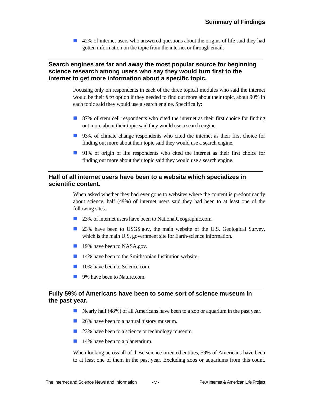■ 42% of internet users who answered questions about the origins of life said they had gotten information on the topic from the internet or through email.

#### **Search engines are far and away the most popular source for beginning science research among users who say they would turn first to the internet to get more information about a specific topic.**

Focusing only on respondents in each of the three topical modules who said the internet would be their *first* option if they needed to find out more about their topic, about 90% in each topic said they would use a search engine. Specifically:

- 87% of stem cell respondents who cited the internet as their first choice for finding out more about their topic said they would use a search engine.
- 93% of climate change respondents who cited the internet as their first choice for finding out more about their topic said they would use a search engine.
- 91% of origin of life respondents who cited the internet as their first choice for finding out more about their topic said they would use a search engine.

#### **Half of all internet users have been to a website which specializes in scientific content.**

When asked whether they had ever gone to websites where the content is predominantly about science, half (49%) of internet users said they had been to at least one of the following sites.

- 23% of internet users have been to NationalGeographic.com.
- 23% have been to USGS.gov, the main website of the U.S. Geological Survey, which is the main U.S. government site for Earth-science information.
- **19%** have been to NASA.gov.
- $\blacksquare$  14% have been to the Smithsonian Institution website.
- **10%** have been to Science.com.
- 9% have been to Nature.com.

#### **Fully 59% of Americans have been to some sort of science museum in the past year.**

- Nearly half (48%) of all Americans have been to a zoo or aquarium in the past year.
- 26% have been to a natural history museum.
- 23% have been to a science or technology museum.
- **14%** have been to a planetarium.

When looking across all of these science-oriented entities, 59% of Americans have been to at least one of them in the past year. Excluding zoos or aquariums from this count,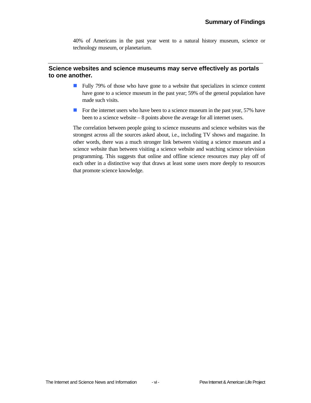40% of Americans in the past year went to a natural history museum, science or technology museum, or planetarium.

#### **Science websites and science museums may serve effectively as portals to one another.**

- **Fully 79%** of those who have gone to a website that specializes in science content have gone to a science museum in the past year; 59% of the general population have made such visits.
- For the internet users who have been to a science museum in the past year, 57% have been to a science website – 8 points above the average for all internet users.

The correlation between people going to science museums and science websites was the strongest across all the sources asked about, i.e., including TV shows and magazine. In other words, there was a much stronger link between visiting a science museum and a science website than between visiting a science website and watching science television programming. This suggests that online and offline science resources may play off of each other in a distinctive way that draws at least some users more deeply to resources that promote science knowledge.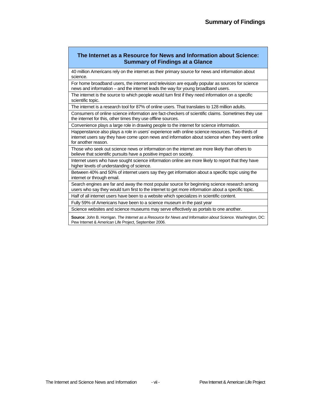#### **The Internet as a Resource for News and Information about Science: Summary of Findings at a Glance**

40 million Americans rely on the internet as their primary source for news and information about science.

For home broadband users, the internet and television are equally popular as sources for science news and information – and the internet leads the way for young broadband users.

The internet is the source to which people would turn first if they need information on a specific scientific topic.

The internet is a research tool for 87% of online users. That translates to 128 million adults.

Consumers of online science information are fact-checkers of scientific claims. Sometimes they use the internet for this, other times they use offline sources.

Convenience plays a large role in drawing people to the internet for science information.

Happenstance also plays a role in users' experience with online science resources. Two-thirds of internet users say they have come upon news and information about science when they went online for another reason.

Those who seek out science news or information on the internet are more likely than others to believe that scientific pursuits have a positive impact on society.

Internet users who have sought science information online are more likely to report that they have higher levels of understanding of science.

Between 40% and 50% of internet users say they get information about a specific topic using the internet or through email.

Search engines are far and away the most popular source for beginning science research among users who say they would turn first to the internet to get more information about a specific topic.

Half of all internet users have been to a website which specializes in scientific content.

Fully 59% of Americans have been to a science museum in the past year

Science websites and science museums may serve effectively as portals to one another.

**Source**: John B. Horrigan. *The Internet as a Resource for News and Information about Science.* Washington, DC: Pew Internet & American Life Project, September 2006.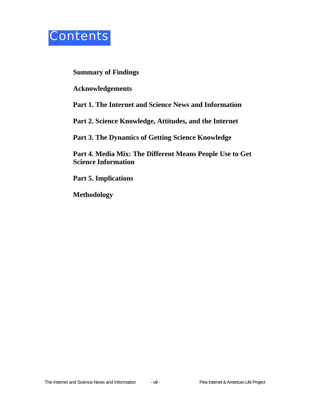

**Summary of Findings** 

**Acknowledgements** 

**Part 1. The Internet and Science News and Information** 

**Part 2. Science Knowledge, Attitudes, and the Internet** 

**Part 3. The Dynamics of Getting Science Knowledge** 

**Part 4. Media Mix: The Different Means People Use to Get Science Information** 

**Part 5. Implications** 

**Methodology**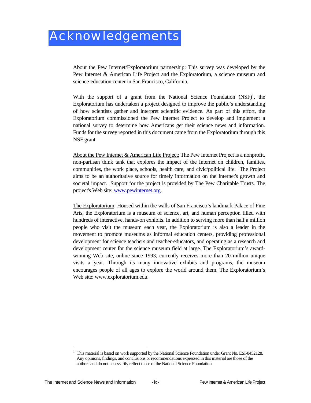About the Pew Internet/Exploratorium partnership: This survey was developed by the Pew Internet & American Life Project and the Exploratorium, a science museum and science-education center in San Francisco, California.

With the support of a grant from the National Science Foundation  $(NSF)^1$ , the Exploratorium has undertaken a project designed to improve the public's understanding of how scientists gather and interpret scientific evidence. As part of this effort, the Exploratorium commissioned the Pew Internet Project to develop and implement a national survey to determine how Americans get their science news and information. Funds for the survey reported in this document came from the Exploratorium through this NSF grant.

About the Pew Internet & American Life Project: The Pew Internet Project is a nonprofit, non-partisan think tank that explores the impact of the Internet on children, families, communities, the work place, schools, health care, and civic/political life. The Project aims to be an authoritative source for timely information on the Internet's growth and societal impact. Support for the project is provided by The Pew Charitable Trusts. The project's Web site: www.pewinternet.org.

The Exploratorium: Housed within the walls of San Francisco's landmark Palace of Fine Arts, the Exploratorium is a museum of science, art, and human perception filled with hundreds of interactive, hands-on exhibits. In addition to serving more than half a million people who visit the museum each year, the Exploratorium is also a leader in the movement to promote museums as informal education centers, providing professional development for science teachers and teacher-educators, and operating as a research and development center for the science museum field at large. The Exploratorium's awardwinning Web site, online since 1993, currently receives more than 20 million unique visits a year. Through its many innovative exhibits and programs, the museum encourages people of all ages to explore the world around them. The Exploratorium's Web site: www.exploratorium.edu.

 $\overline{a}$ 1 This material is based on work supported by the National Science Foundation under Grant No. ESI-0452128. Any opinions, findings, and conclusions or recommendations expressed in this material are those of the authors and do not necessarily reflect those of the National Science Foundation.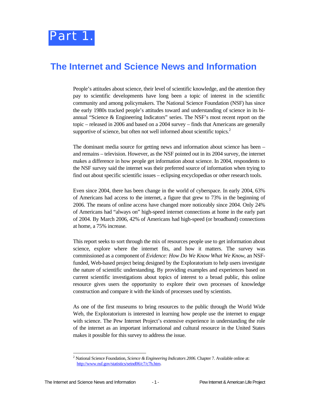## **The Internet and Science News and Information**

People's attitudes about science, their level of scientific knowledge, and the attention they pay to scientific developments have long been a topic of interest in the scientific community and among policymakers. The National Science Foundation (NSF) has since the early 1980s tracked people's attitudes toward and understanding of science in its biannual "Science & Engineering Indicators" series. The NSF's most recent report on the topic – released in 2006 and based on a 2004 survey – finds that Americans are generally supportive of science, but often not well informed about scientific topics. $2$ 

The dominant media source for getting news and information about science has been – and remains – television. However, as the NSF pointed out in its 2004 survey, the internet makes a difference in how people get information about science. In 2004, respondents to the NSF survey said the internet was their preferred source of information when trying to find out about specific scientific issues – eclipsing encyclopedias or other research tools.

Even since 2004, there has been change in the world of cyberspace. In early 2004, 63% of Americans had access to the internet, a figure that grew to 73% in the beginning of 2006. The means of online access have changed more noticeably since 2004. Only 24% of Americans had "always on" high-speed internet connections at home in the early part of 2004. By March 2006, 42% of Americans had high-speed (or broadband) connections at home, a 75% increase.

This report seeks to sort through the mix of resources people use to get information about science, explore where the internet fits, and how it matters. The survey was commissioned as a component of *Evidence: How Do We Know What We Know*, an NSFfunded, Web-based project being designed by the Exploratorium to help users investigate the nature of scientific understanding. By providing examples and experiences based on current scientific investigations about topics of interest to a broad public, this online resource gives users the opportunity to explore their own processes of knowledge construction and compare it with the kinds of processes used by scientists.

As one of the first museums to bring resources to the public through the World Wide Web, the Exploratorium is interested in learning how people use the internet to engage with science. The Pew Internet Project's extensive experience in understanding the role of the internet as an important informational and cultural resource in the United States makes it possible for this survey to address the issue.

1

<sup>2</sup> National Science Foundation, *Science & Engineering Indicators 2006*. Chapter 7. Available online at: http://www.nsf.gov/statistics/seind06/c7/c7h.htm.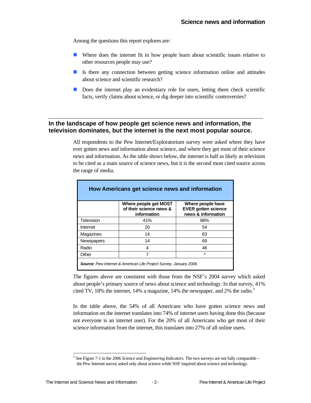Among the questions this report explores are:

- Where does the internet fit in how people learn about scientific issues relative to other resources people may use?
- If Is there any connection between getting science information online and attitudes about science and scientific research?
- Does the internet play an evidentiary role for users, letting them check scientific facts, verify claims about science, or dig deeper into scientific controversies?

#### **In the landscape of how people get science news and information, the television dominates, but the internet is the next most popular source.**

All respondents to the Pew Internet/Exploratorium survey were asked where they have ever gotten news and information about science, and where they get most of their science news and information. As the table shows below, the internet is half as likely as television to be cited as a main source of science news, but it is the second most cited source across the range of media.

| How Americans get science news and information |                                                                 |                                                                       |  |  |
|------------------------------------------------|-----------------------------------------------------------------|-----------------------------------------------------------------------|--|--|
|                                                | Where people get MOST<br>of their science news &<br>information | Where people have<br><b>EVER gotten science</b><br>news & information |  |  |
| Television                                     | 41%                                                             | 88%                                                                   |  |  |
| Internet                                       | 20                                                              | 54                                                                    |  |  |
| Magazines                                      | 14                                                              | 63                                                                    |  |  |
| <b>Newspapers</b>                              | 14                                                              | 69                                                                    |  |  |
| Radio                                          | 4                                                               | 46                                                                    |  |  |
| Other                                          |                                                                 | $\star$                                                               |  |  |

The figures above are consistent with those from the NSF's 2004 survey which asked about people's primary source of news about science and technology. In that survey, 41% cited TV, 18% the internet, 14% a magazine, 14% the newspaper, and 2% the radio.<sup>3</sup>

In the table above, the 54% of all Americans who have gotten science news and information on the internet translates into 74% of internet users having done this (because not everyone is an internet user). For the 20% of all Americans who get most of their science information from the internet, this translates into 27% of all online users.

l

<sup>&</sup>lt;sup>3</sup> See Figure 7-1 in the 2006 Science and Engineering Indicators. The two surveys are not fully comparable – the Pew Internet survey asked only about science while NSF inquired about science and technology.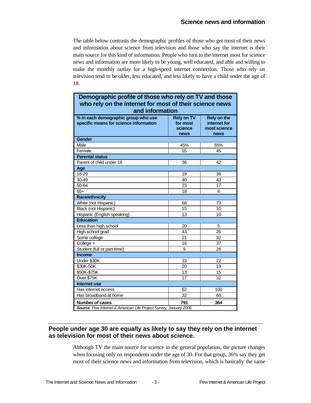The table below contrasts the demographic profiles of those who get most of their news and information about science from television and those who say the internet is their main source for this kind of information. People who turn to the internet most for science news and information are more likely to be young, well educated, and able and willing to make the monthly outlay for a high-speed internet connection. Those who rely on television tend to be older, less educated, and less likely to have a child under the age of 18.

| Demographic profile of those who rely on TV and those                         |                                                  |                                                     |  |  |
|-------------------------------------------------------------------------------|--------------------------------------------------|-----------------------------------------------------|--|--|
| who rely on the internet for most of their science news                       |                                                  |                                                     |  |  |
| and information                                                               |                                                  |                                                     |  |  |
| % in each demographic group who use<br>specific means for science information | <b>Rely on TV</b><br>for most<br>science<br>news | Rely on the<br>internet for<br>most science<br>news |  |  |
| Gender                                                                        |                                                  |                                                     |  |  |
| Male                                                                          | 45%                                              | 55%                                                 |  |  |
| Female                                                                        | 55                                               | 45                                                  |  |  |
| <b>Parental status</b>                                                        |                                                  |                                                     |  |  |
| Parent of child under 18                                                      | 36                                               | 42                                                  |  |  |
| Age                                                                           |                                                  |                                                     |  |  |
| 18-29                                                                         | 19                                               | 36                                                  |  |  |
| 30-49                                                                         | 40                                               | 43                                                  |  |  |
| $50 - 64$                                                                     | 23                                               | 17                                                  |  |  |
| $65+$                                                                         | 18                                               | 4                                                   |  |  |
| <b>Race/ethnicity</b>                                                         |                                                  |                                                     |  |  |
| White (not Hispanic)                                                          | 68                                               | 73                                                  |  |  |
| Black (not Hispanic)                                                          | 15                                               | 10                                                  |  |  |
| Hispanic (English speaking)                                                   | 13                                               | 10                                                  |  |  |
| <b>Education</b>                                                              |                                                  |                                                     |  |  |
| Less than high school                                                         | 20                                               | 5                                                   |  |  |
| High school grad                                                              | 43                                               | 26                                                  |  |  |
| Some college                                                                  | 21                                               | 32                                                  |  |  |
| College +                                                                     | 16                                               | 37                                                  |  |  |
| Student (full or part-time)                                                   | 9                                                | 26                                                  |  |  |
| <b>Income</b>                                                                 |                                                  |                                                     |  |  |
| Under \$30K                                                                   | 33                                               | 22                                                  |  |  |
| \$30K-50K                                                                     | 20                                               | 19                                                  |  |  |
| \$50K-\$75K                                                                   | 13                                               | 15                                                  |  |  |
| Over \$75K                                                                    | 17                                               | 32                                                  |  |  |
| <b>Internet use</b>                                                           |                                                  |                                                     |  |  |
| Has internet access                                                           | 62                                               | 100                                                 |  |  |
| Has broadband at home                                                         | 32                                               | 68                                                  |  |  |
| 791<br><b>Number of cases</b><br>364                                          |                                                  |                                                     |  |  |
| Source: Pew Internet & American Life Project Survey, January 2006.            |                                                  |                                                     |  |  |

#### **People under age 30 are equally as likely to say they rely on the internet as television for most of their news about science.**

Although TV the main source for science in the general population, the picture changes when focusing only on respondents under the age of 30. For that group, 36% say they get most of their science news and information from television, which is basically the same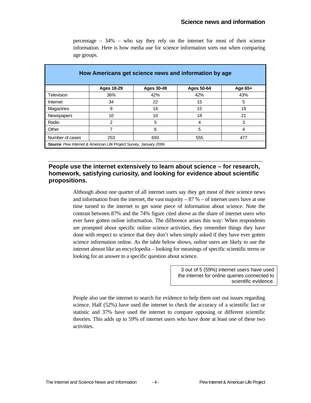| How Americans get science news and information by age                     |                   |            |            |         |  |
|---------------------------------------------------------------------------|-------------------|------------|------------|---------|--|
|                                                                           | <b>Ages 18-29</b> | Ages 30-49 | Ages 50-64 | Age 65+ |  |
| Television                                                                | 36%               | 42%        | 42%        | 43%     |  |
| Internet                                                                  | 34                | 22         | 15         | 5       |  |
| Magazines                                                                 | 9                 | 14         | 15         | 19      |  |
| <b>Newspapers</b>                                                         | 10                | 10         | 18         | 21      |  |
| Radio                                                                     | 2                 | 5          | 4          | 3       |  |
| Other                                                                     | 7                 | 6          | 5          | 4       |  |
| Number of cases                                                           | 253               | 693        | 555        | 477     |  |
| <b>Source:</b> Pew Internet & American Life Project Survey, January 2006. |                   |            |            |         |  |

percentage  $-34\%$  – who say they rely on the internet for most of their science information. Here is how media use for science information sorts out when comparing age groups.

#### **People use the internet extensively to learn about science – for research, homework, satisfying curiosity, and looking for evidence about scientific propositions.**

Although about one quarter of all internet users say they get most of their science news and information from the internet, the vast majority  $-87\%$  – of internet users have at one time turned to the internet to get some piece of information about science. Note the contrast between 87% and the 74% figure cited above as the share of internet users who ever have gotten online information. The difference arises this way: When respondents are prompted about specific online science activities, they remember things they have done with respect to science that they don't when simply asked if they have ever gotten science information online. As the table below shows, online users are likely to use the internet almost like an encyclopedia – looking for meanings of specific scientific terms or looking for an answer to a specific question about science.

> 3 out of 5 (59%) internet users have used the internet for online queries connected to scientific evidence.

People also use the internet to search for evidence to help them sort out issues regarding science. Half (52%) have used the internet to check the accuracy of a scientific fact or statistic and 37% have used the internet to compare opposing or different scientific theories. This adds up to 59% of internet users who have done at least one of these two activities.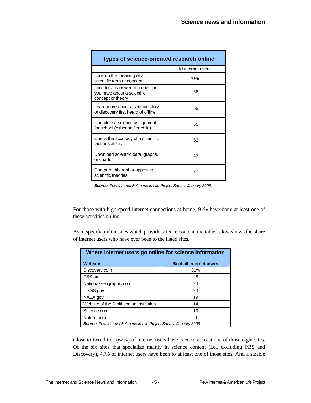| Types of science-oriented research online                                            |                    |  |  |
|--------------------------------------------------------------------------------------|--------------------|--|--|
|                                                                                      | All internet users |  |  |
| Look up the meaning of a<br>scientific term or concept                               | 70%                |  |  |
| Look for an answer to a question<br>you have about a scientific<br>concept or theory | 68                 |  |  |
| Learn more about a science story<br>or discovery first heard of offline              | 65                 |  |  |
| Complete a science assignment<br>for school (either self or child)                   | 55                 |  |  |
| Check the accuracy of a scientific<br>fact or statistic                              | 52                 |  |  |
| Download scientific data, graphs,<br>or charts                                       | 43                 |  |  |
| Compare different or opposing<br>scientific theories                                 | 37                 |  |  |

*Source: Pew Internet & American Life Project Survey, January 2006.* 

For those with high-speed internet connections at home, 91% have done at least one of these activities online.

As to specific online sites which provide science content, the table below shows the share of internet users who have ever been to the listed sites.

| Where internet users go online for science information                    |                         |  |  |
|---------------------------------------------------------------------------|-------------------------|--|--|
| <b>Website</b>                                                            | % of all internet users |  |  |
| Discovery.com                                                             | 31%                     |  |  |
| PBS.org                                                                   | 28                      |  |  |
| NationalGeographic.com                                                    | 23                      |  |  |
| USGS.gov                                                                  | 23                      |  |  |
| NASA.gov                                                                  | 19                      |  |  |
| Website of the Smithsonian Institution                                    | 14                      |  |  |
| Science.com                                                               | 10                      |  |  |
| Nature.com<br>9                                                           |                         |  |  |
| <b>Source:</b> Pew Internet & American Life Project Survey, January 2006. |                         |  |  |

Close to two-thirds (62%) of internet users have been to at least one of those eight sites. Of the six sites that specialize mainly in science content (i.e., excluding PBS and Discovery), 49% of internet users have been to at least one of those sites. And a sizable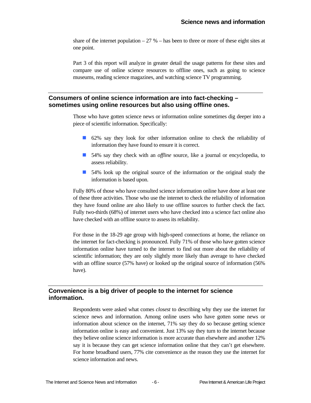share of the internet population  $-27$ % – has been to three or more of these eight sites at one point.

Part 3 of this report will analyze in greater detail the usage patterns for these sites and compare use of online science resources to offline ones, such as going to science museums, reading science magazines, and watching science TV programming.

#### **Consumers of online science information are into fact-checking – sometimes using online resources but also using offline ones.**

Those who have gotten science news or information online sometimes dig deeper into a piece of scientific information. Specifically:

- 62% say they look for other information online to check the reliability of information they have found to ensure it is correct.
- 54% say they check with an *offline* source, like a journal or encyclopedia, to assess reliability.
- 54% look up the original source of the information or the original study the information is based upon.

Fully 80% of those who have consulted science information online have done at least one of these three activities. Those who use the internet to check the reliability of information they have found online are also likely to use offline sources to further check the fact. Fully two-thirds (68%) of internet users who have checked into a science fact online also have checked with an offline source to assess its reliability.

For those in the 18-29 age group with high-speed connections at home, the reliance on the internet for fact-checking is pronounced. Fully 71% of those who have gotten science information online have turned to the internet to find out more about the reliability of scientific information; they are only slightly more likely than average to have checked with an offline source (57% have) or looked up the original source of information (56% have).

#### **Convenience is a big driver of people to the internet for science information.**

Respondents were asked what comes *closest* to describing why they use the internet for science news and information. Among online users who have gotten some news or information about science on the internet, 71% say they do so because getting science information online is easy and convenient. Just 13% say they turn to the internet because they believe online science information is more accurate than elsewhere and another 12% say it is because they can get science information online that they can't get elsewhere. For home broadband users, 77% cite convenience as the reason they use the internet for science information and news.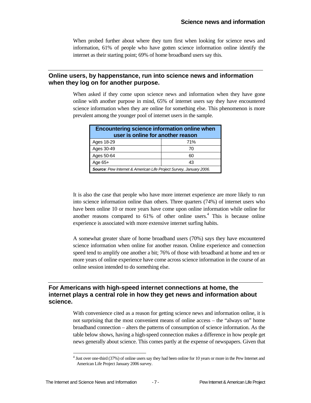When probed further about where they turn first when looking for science news and information, 61% of people who have gotten science information online identify the internet as their starting point; 69% of home broadband users say this.

#### **Online users, by happenstance, run into science news and information when they log on for another purpose.**

When asked if they come upon science news and information when they have gone online with another purpose in mind, 65% of internet users say they have encountered science information when they are online for something else. This phenomenon is more prevalent among the younger pool of internet users in the sample.

| Encountering science information online when<br>user is online for another reason |     |  |  |
|-----------------------------------------------------------------------------------|-----|--|--|
| Ages 18-29                                                                        | 71% |  |  |
| Ages 30-49<br>70                                                                  |     |  |  |
| Ages 50-64<br>60                                                                  |     |  |  |
| Age $65+$<br>43                                                                   |     |  |  |
| <b>Source:</b> Pew Internet & American Life Project Survey, January 2006.         |     |  |  |

It is also the case that people who have more internet experience are more likely to run into science information online than others. Three quarters (74%) of internet users who have been online 10 or more years have come upon online information while online for another reasons compared to  $61\%$  of other online users.<sup>4</sup> This is because online experience is associated with more extensive internet surfing habits.

A somewhat greater share of home broadband users (70%) says they have encountered science information when online for another reason. Online experience and connection speed tend to amplify one another a bit; 76% of those with broadband at home and ten or more years of online experience have come across science information in the course of an online session intended to do something else.

#### **For Americans with high-speed internet connections at home, the internet plays a central role in how they get news and information about science.**

With convenience cited as a reason for getting science news and information online, it is not surprising that the most convenient means of online access – the "always on" home broadband connection – alters the patterns of consumption of science information. As the table below shows, having a high-speed connection makes a difference in how people get news generally about science. This comes partly at the expense of newspapers. Given that

 4 Just over one-third (37%) of online users say they had been online for 10 years or more in the Pew Internet and American Life Project January 2006 survey.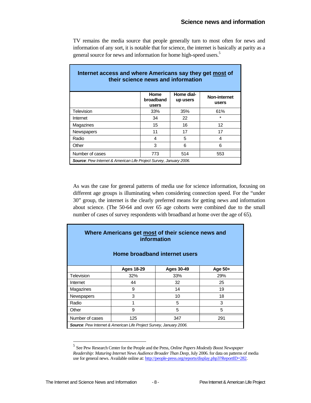TV remains the media source that people generally turn to most often for news and information of any sort, it is notable that for science, the internet is basically at parity as a general source for news and information for home high-speed users.<sup>5</sup>

| Internet access and where Americans say they get most of<br>their science news and information |                            |                        |                       |  |
|------------------------------------------------------------------------------------------------|----------------------------|------------------------|-----------------------|--|
|                                                                                                | Home<br>broadband<br>users | Home dial-<br>up users | Non-internet<br>users |  |
| Television                                                                                     | 33%                        | 35%                    | 61%                   |  |
| Internet                                                                                       | 34                         | 22                     | $\star$               |  |
| Magazines                                                                                      | 15                         | 16                     | 12                    |  |
| <b>Newspapers</b>                                                                              | 11                         | 17                     | 17                    |  |
| Radio                                                                                          | 4                          | 5                      | 4                     |  |
| Other                                                                                          | 3                          | 6                      | 6                     |  |
| Number of cases<br>514<br>773<br>553                                                           |                            |                        |                       |  |
| Source: Pew Internet & American Life Project Survey, January 2006.                             |                            |                        |                       |  |

As was the case for general patterns of media use for science information, focusing on different age groups is illuminating when considering connection speed. For the "under 30" group, the internet is the clearly preferred means for getting news and information about science. (The 50-64 and over 65 age cohorts were combined due to the small number of cases of survey respondents with broadband at home over the age of 65).

| Where Americans get most of their science news and<br>information<br>Home broadband internet users |                                                   |     |     |  |  |  |
|----------------------------------------------------------------------------------------------------|---------------------------------------------------|-----|-----|--|--|--|
|                                                                                                    | <b>Ages 18-29</b><br><b>Ages 30-49</b><br>Age 50+ |     |     |  |  |  |
| Television                                                                                         | 32%                                               | 33% | 29% |  |  |  |
| Internet                                                                                           | 44                                                | 32  | 25  |  |  |  |
| Magazines                                                                                          | 9                                                 | 14  | 19  |  |  |  |
| Newspapers                                                                                         | 3                                                 | 10  | 18  |  |  |  |
| Radio                                                                                              |                                                   | 5   | 3   |  |  |  |
| Other                                                                                              | 9                                                 | 5   | 5   |  |  |  |
| Number of cases<br>125<br>347<br>291                                                               |                                                   |     |     |  |  |  |
| Source: Pew Internet & American Life Project Survey, January 2006.                                 |                                                   |     |     |  |  |  |

<sup>5</sup> See Pew Research Center for the People and the Press, *Online Papers Modestly Boost Newspaper Readership: Maturing Internet News Audience Broader Than Deep*, July 2006. for data on patterns of media use for general news. Available online at: http://people-press.org/reports/display.php3?ReportID=282.

l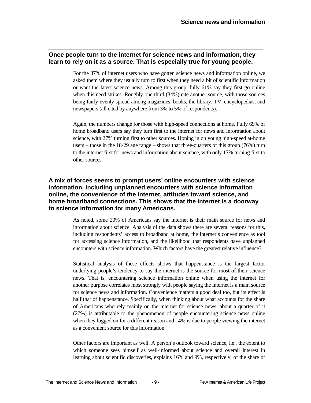#### **Once people turn to the internet for science news and information, they learn to rely on it as a source. That is especially true for young people.**

For the 87% of internet users who have gotten science news and information online, we asked them where they usually turn to first when they need a bit of scientific information or want the latest science news. Among this group, fully 61% say they first go online when this need strikes. Roughly one-third (34%) cite another source, with those sources being fairly evenly spread among magazines, books, the library, TV, encyclopedias, and newspapers (all cited by anywhere from 3% to 5% of respondents).

Again, the numbers change for those with high-speed connections at home. Fully 69% of home broadband users say they turn first to the internet for news and information about science, with 27% turning first to other sources. Honing in on young high-speed at-home users – those in the 18-29 age range – shows that three-quarters of this group (76%) turn to the internet first for news and information about science, with only 17% turning first to other sources.

#### **A mix of forces seems to prompt users' online encounters with science information, including unplanned encounters with science information online, the convenience of the internet, attitudes toward science, and home broadband connections. This shows that the internet is a doorway to science information for many Americans.**

As noted, some 20% of Americans say the internet is their main source for news and information about science. Analysis of the data shows there are several reasons for this, including respondents' access to broadband at home, the internet's convenience as tool for accessing science information, and the likelihood that respondents have unplanned encounters with science information. Which factors have the greatest relative influence?

Statistical analysis of these effects shows that happenstance is the largest factor underlying people's tendency to say the internet is the source for most of their science news. That is, encountering science information online when using the internet for another purpose correlates most strongly with people saying the internet is a main source for science news and information. Convenience matters a good deal too, but its effect is half that of happenstance. Specifically, when thinking about what accounts for the share of Americans who rely mainly on the internet for science news, about a quarter of it (27%) is attributable to the phenomenon of people encountering science news online when they logged on for a different reason and 14% is due to people viewing the internet as a convenient source for this information.

Other factors are important as well. A person's outlook toward science, i.e., the extent to which someone sees himself as well-informed about science and overall interest in learning about scientific discoveries, explains 16% and 9%, respectively, of the share of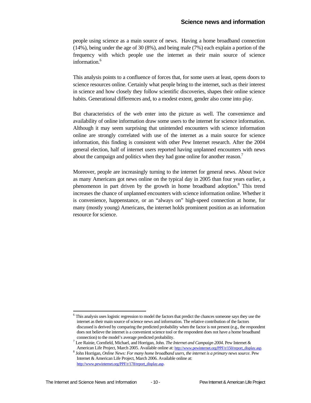people using science as a main source of news. Having a home broadband connection (14%), being under the age of 30 (8%), and being male (7%) each explain a portion of the frequency with which people use the internet as their main source of science information.<sup>6</sup>

This analysis points to a confluence of forces that, for some users at least, opens doors to science resources online. Certainly what people bring to the internet, such as their interest in science and how closely they follow scientific discoveries, shapes their online science habits. Generational differences and, to a modest extent, gender also come into play.

But characteristics of the web enter into the picture as well. The convenience and availability of online information draw some users to the internet for science information. Although it may seem surprising that unintended encounters with science information online are strongly correlated with use of the internet as a main source for science information, this finding is consistent with other Pew Internet research. After the 2004 general election, half of internet users reported having unplanned encounters with news about the campaign and politics when they had gone online for another reason.<sup>7</sup>

Moreover, people are increasingly turning to the internet for general news. About twice as many Americans got news online on the typical day in 2005 than four years earlier, a phenomenon in part driven by the growth in home broadband adoption.<sup>8</sup> This trend increases the chance of unplanned encounters with science information online. Whether it is convenience, happenstance, or an "always on" high-speed connection at home, for many (mostly young) Americans, the internet holds prominent position as an information resource for science.

1

<sup>&</sup>lt;sup>6</sup> This analysis uses logistic regression to model the factors that predict the chances someone says they use the internet as their main source of science news and information. The relative contribution of the factors discussed is derived by comparing the predicted probability when the factor is not present (e.g., the respondent does not believe the internet is a convenient science tool or the respondent does not have a home broadband connection) to the model's average predicted probability.

 $^7$  Lee Rainie, Cornfield, Michael, and Horrigan, John. *The Internet and Campaign 2004*. Pew Internet  $\&$ American Life Project, March 2005. Available online at: http://www.pewinternet.org/PPF/r/150/report\_display.asp.

John Horrigan, *Online News: For many home broadband users, the internet is a primary news source*. Pew Internet & American Life Project, March 2006. Available online at: http://www.pewinternet.org/PPF/r/178/report\_display.asp.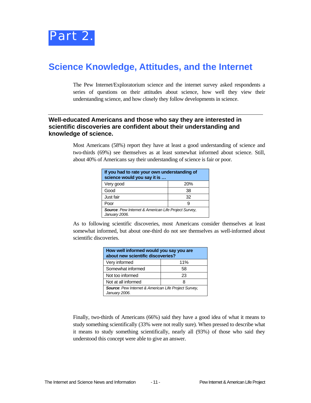

### **Science Knowledge, Attitudes, and the Internet**

The Pew Internet/Exploratorium science and the internet survey asked respondents a series of questions on their attitudes about science, how well they view their understanding science, and how closely they follow developments in science.

#### **Well-educated Americans and those who say they are interested in scientific discoveries are confident about their understanding and knowledge of science.**

Most Americans (58%) report they have at least a good understanding of science and two-thirds (69%) see themselves as at least somewhat informed about science. Still, about 40% of Americans say their understanding of science is fair or poor.

| If you had to rate your own understanding of<br>science would you say it is  |  |  |  |
|------------------------------------------------------------------------------|--|--|--|
| Very good<br>20%                                                             |  |  |  |
| Good<br>38                                                                   |  |  |  |
| Just fair<br>32                                                              |  |  |  |
| Poor                                                                         |  |  |  |
| <b>Source:</b> Pew Internet & American Life Project Survey,<br>January 2006. |  |  |  |

As to following scientific discoveries, most Americans consider themselves at least somewhat informed, but about one-third do not see themselves as well-informed about scientific discoveries.

| How well informed would you say you are<br>about new scientific discoveries? |  |  |  |
|------------------------------------------------------------------------------|--|--|--|
| Very informed<br>11%                                                         |  |  |  |
| Somewhat informed<br>58                                                      |  |  |  |
| Not too informed<br>23                                                       |  |  |  |
| Not at all informed<br>8                                                     |  |  |  |
| Source: Pew Internet & American Life Project Survey,<br>January 2006.        |  |  |  |

Finally, two-thirds of Americans (66%) said they have a good idea of what it means to study something scientifically (33% were not really sure). When pressed to describe what it means to study something scientifically, nearly all (93%) of those who said they understood this concept were able to give an answer.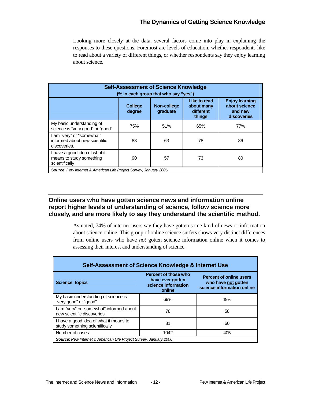### **The Dynamics of Getting Science Knowledge**

Looking more closely at the data, several factors come into play in explaining the responses to these questions. Foremost are levels of education, whether respondents like to read about a variety of different things, or whether respondents say they enjoy learning about science.

| <b>Self-Assessment of Science Knowledge</b><br>(% in each group that who say "yes") |                                                                                                                                                                              |     |     |     |  |  |
|-------------------------------------------------------------------------------------|------------------------------------------------------------------------------------------------------------------------------------------------------------------------------|-----|-----|-----|--|--|
|                                                                                     | Like to read<br><b>Enjoy learning</b><br>about science<br><b>College</b><br>Non-college<br>about many<br>graduate<br>different<br>and new<br>degree<br>things<br>discoveries |     |     |     |  |  |
| My basic understanding of<br>science is "very good" or "good"                       | 75%                                                                                                                                                                          | 51% | 65% | 77% |  |  |
| am "very" or "somewhat"<br>informed about new scientific<br>discoveries.            | 83                                                                                                                                                                           | 63  | 78  | 86  |  |  |
| I have a good idea of what it<br>means to study something<br>scientifically         | 90                                                                                                                                                                           | 57  | 73  | 80  |  |  |
| <b>Source:</b> Pew Internet & American Life Project Survey, January 2006.           |                                                                                                                                                                              |     |     |     |  |  |

#### **Online users who have gotten science news and information online report higher levels of understanding of science, follow science more closely, and are more likely to say they understand the scientific method.**

As noted, 74% of internet users say they have gotten some kind of news or information about science online. This group of online science surfers shows very distinct differences from online users who have *not* gotten science information online when it comes to assessing their interest and understanding of science.

| Self-Assessment of Science Knowledge & Internet Use                                                                                                                                       |      |     |  |  |  |
|-------------------------------------------------------------------------------------------------------------------------------------------------------------------------------------------|------|-----|--|--|--|
| Percent of those who<br><b>Percent of online users</b><br>have ever gotten<br>who have not gotten<br><b>Science topics</b><br>science information<br>science information online<br>online |      |     |  |  |  |
| My basic understanding of science is<br>"very good" or "good"                                                                                                                             | 69%  | 49% |  |  |  |
| I am "very" or "somewhat" informed about<br>new scientific discoveries.                                                                                                                   | 78   | 58  |  |  |  |
| I have a good idea of what it means to<br>study something scientifically                                                                                                                  | 81   | 60  |  |  |  |
| Number of cases                                                                                                                                                                           | 1042 | 405 |  |  |  |
| <b>Source:</b> Pew Internet & American Life Project Survey, January 2006                                                                                                                  |      |     |  |  |  |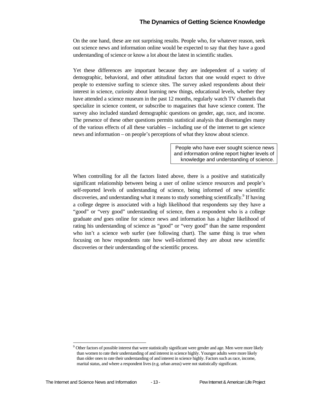On the one hand, these are not surprising results. People who, for whatever reason, seek out science news and information online would be expected to say that they have a good understanding of science or know a lot about the latest in scientific studies.

Yet these differences are important because they are independent of a variety of demographic, behavioral, and other attitudinal factors that one would expect to drive people to extensive surfing to science sites. The survey asked respondents about their interest in science, curiosity about learning new things, educational levels, whether they have attended a science museum in the past 12 months, regularly watch TV channels that specialize in science content, or subscribe to magazines that have science content. The survey also included standard demographic questions on gender, age, race, and income. The presence of these other questions permits statistical analysis that disentangles many of the various effects of all these variables – including use of the internet to get science news and information – on people's perceptions of what they know about science.

> People who have ever sought science news and information online report higher levels of knowledge and understanding of science.

When controlling for all the factors listed above, there is a positive and statistically significant relationship between being a user of online science resources and people's self-reported levels of understanding of science, being informed of new scientific discoveries, and understanding what it means to study something scientifically.<sup>9</sup> If having a college degree is associated with a high likelihood that respondents say they have a "good" or "very good" understanding of science, then a respondent who is a college graduate *and* goes online for science news and information has a higher likelihood of rating his understanding of science as "good" or "very good" than the same respondent who isn't a science web surfer (see following chart). The same thing is true when focusing on how respondents rate how well-informed they are about new scientific discoveries or their understanding of the scientific process.

l

<sup>9</sup> Other factors of possible interest that were statistically significant were gender and age. Men were more likely than women to rate their understanding of and interest in science highly. Younger adults were more likely than older ones to rate their understanding of and interest in science highly. Factors such as race, income, marital status, and where a respondent lives (e.g. urban areas) were not statistically significant.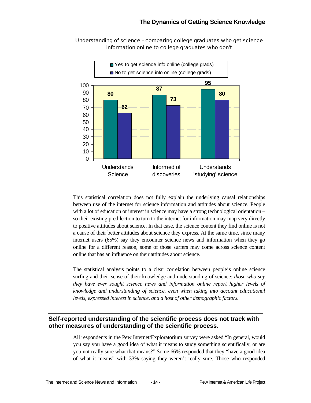

#### Understanding of science – comparing college graduates who get science information online to college graduates who don't

This statistical correlation does not fully explain the underlying causal relationships between use of the internet for science information and attitudes about science. People with a lot of education or interest in science may have a strong technological orientation – so their existing predilection to turn to the internet for information may map very directly to positive attitudes about science. In that case, the science content they find online is not a cause of their better attitudes about science they express. At the same time, since many internet users (65%) say they encounter science news and information when they go online for a different reason, some of those surfers may come across science content online that has an influence on their attitudes about science.

The statistical analysis points to a clear correlation between people's online science surfing and their sense of their knowledge and understanding of science: *those who say they have ever sought science news and information online report higher levels of knowledge and understanding of science, even when taking into account educational levels, expressed interest in science, and a host of other demographic factors.*

#### **Self-reported understanding of the scientific process does not track with other measures of understanding of the scientific process.**

All respondents in the Pew Internet/Exploratorium survey were asked "In general, would you say you have a good idea of what it means to study something scientifically, or are you not really sure what that means?" Some 66% responded that they "have a good idea of what it means" with 33% saying they weren't really sure. Those who responded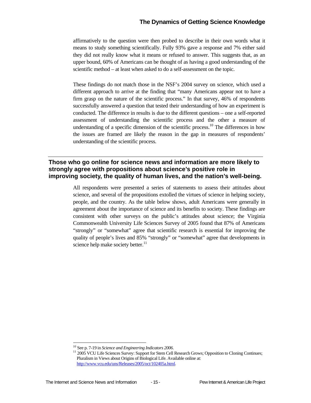affirmatively to the question were then probed to describe in their own words what it means to study something scientifically. Fully 93% gave a response and 7% either said they did not really know what it means or refused to answer. This suggests that, as an upper bound, 60% of Americans can be thought of as having a good understanding of the scientific method – at least when asked to do a self-assessment on the topic.

These findings do not match those in the NSF's 2004 survey on science, which used a different approach to arrive at the finding that "many Americans appear not to have a firm grasp on the nature of the scientific process." In that survey, 46% of respondents successfully answered a question that tested their understanding of how an experiment is conducted. The difference in results is due to the different questions – one a self-reported assessment of understanding the scientific process and the other a measure of understanding of a specific dimension of the scientific process.<sup>10</sup> The differences in how the issues are framed are likely the reason in the gap in measures of respondents' understanding of the scientific process.

#### **Those who go online for science news and information are more likely to strongly agree with propositions about science's positive role in improving society, the quality of human lives, and the nation's well-being.**

All respondents were presented a series of statements to assess their attitudes about science, and several of the propositions extolled the virtues of science in helping society, people, and the country. As the table below shows, adult Americans were generally in agreement about the importance of science and its benefits to society. These findings are consistent with other surveys on the public's attitudes about science; the Virginia Commonwealth University Life Sciences Survey of 2005 found that 87% of Americans "strongly" or "somewhat" agree that scientific research is essential for improving the quality of people's lives and 85% "strongly" or "somewhat" agree that developments in science help make society better. $11$ 

 $10$  See p. 7-19 in Science and Engineering Indicators 2006.

<sup>&</sup>lt;sup>11</sup> 2005 VCU Life Sciences Survey: Support for Stem Cell Research Grows; Opposition to Cloning Continues; Pluralism in Views about Origins of Biological Life. Available online at: http://www.vcu.edu/uns/Releases/2005/oct/102405a.html.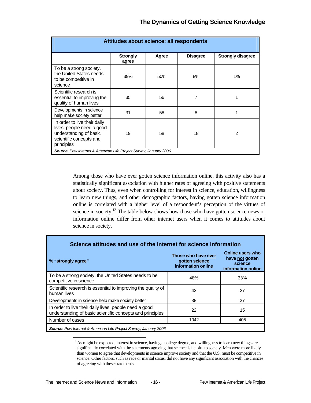| Attitudes about science: all respondents |       |                                                                    |                          |  |
|------------------------------------------|-------|--------------------------------------------------------------------|--------------------------|--|
| <b>Strongly</b><br>agree                 | Agree | <b>Disagree</b>                                                    | <b>Strongly disagree</b> |  |
| 39%                                      | 50%   | 8%                                                                 | $1\%$                    |  |
| 35                                       | 56    | 7                                                                  |                          |  |
| 31                                       | 58    | 8                                                                  |                          |  |
| 19                                       | 58    | 18                                                                 | 2                        |  |
|                                          |       | Source: Pew Internet & American Life Project Survey, January 2006. |                          |  |

Among those who have ever gotten science information online, this activity also has a statistically significant association with higher rates of agreeing with positive statements about society. Thus, even when controlling for interest in science, education, willingness to learn new things, and other demographic factors, having gotten science information online is correlated with a higher level of a respondent's perception of the virtues of science in society.<sup>12</sup> The table below shows how those who have gotten science news or information online differ from other internet users when it comes to attitudes about science in society.

| % "strongly agree"                                                                                                  | Those who have ever<br>gotten science<br>information online | <b>Online users who</b><br>have not gotten<br>science<br>information online |
|---------------------------------------------------------------------------------------------------------------------|-------------------------------------------------------------|-----------------------------------------------------------------------------|
| To be a strong society, the United States needs to be<br>competitive in science                                     | 48%                                                         | 33%                                                                         |
| Scientific research is essential to improving the quality of<br>human lives                                         | 43                                                          | 27                                                                          |
| Developments in science help make society better                                                                    | 38                                                          | 27                                                                          |
| In order to live their daily lives, people need a good<br>understanding of basic scientific concepts and principles | 22                                                          | 15                                                                          |
| Number of cases                                                                                                     | 1042                                                        | 405                                                                         |

 $12$  As might be expected, interest in science, having a college degree, and willingness to learn new things are significantly correlated with the statements agreeing that science is helpful to society. Men were more likely than women to agree that developments in science improve society and that the U.S. must be competitive in science. Other factors, such as race or marital status, did not have any significant association with the chances of agreeing with these statements.

 $\overline{a}$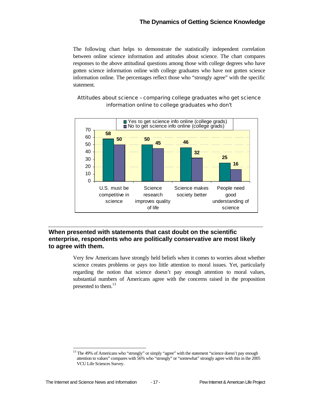The following chart helps to demonstrate the statistically independent correlation between online science information and attitudes about science. The chart compares responses to the above attitudinal questions among those with college degrees who have gotten science information online with college graduates who have not gotten science information online. The percentages reflect those who "strongly agree" with the specific statement.



#### Attitudes about science – comparing college graduates who get science information online to college graduates who don't

#### **When presented with statements that cast doubt on the scientific enterprise, respondents who are politically conservative are most likely to agree with them.**

Very few Americans have strongly held beliefs when it comes to worries about whether science creates problems or pays too little attention to moral issues. Yet, particularly regarding the notion that science doesn't pay enough attention to moral values, substantial numbers of Americans agree with the concerns raised in the proposition presented to them.<sup>13</sup>

 $\overline{a}$ <sup>13</sup> The 49% of Americans who "strongly" or simply "agree" with the statement "science doesn't pay enough attention to values" compares with 56% who "strongly" or "somewhat" strongly agree with this in the 2005 VCU Life Sciences Survey.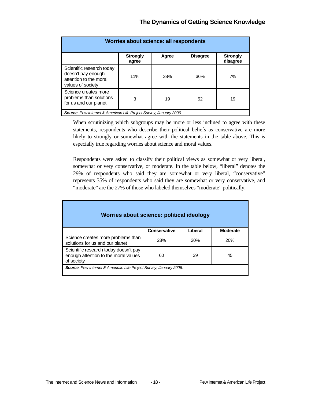| Worries about science: all respondents                                                         |                          |       |                 |                             |
|------------------------------------------------------------------------------------------------|--------------------------|-------|-----------------|-----------------------------|
|                                                                                                | <b>Strongly</b><br>agree | Agree | <b>Disagree</b> | <b>Strongly</b><br>disagree |
| Scientific research today<br>doesn't pay enough<br>attention to the moral<br>values of society | 11%                      | 38%   | 36%             | 7%                          |
| Science creates more<br>problems than solutions<br>for us and our planet                       | 3                        | 19    | 52              | 19                          |
| <b>Source:</b> Pew Internet & American Life Project Survey, January 2006.                      |                          |       |                 |                             |

When scrutinizing which subgroups may be more or less inclined to agree with these statements, respondents who describe their political beliefs as conservative are more likely to strongly or somewhat agree with the statements in the table above. This is especially true regarding worries about science and moral values.

Respondents were asked to classify their political views as somewhat or very liberal, somewhat or very conservative, or moderate. In the table below, "liberal" denotes the 29% of respondents who said they are somewhat or very liberal, "conservative" represents 35% of respondents who said they are somewhat or very conservative, and "moderate" are the 27% of those who labeled themselves "moderate" politically.

| Worries about science: political ideology                                                                     |              |            |                 |  |
|---------------------------------------------------------------------------------------------------------------|--------------|------------|-----------------|--|
|                                                                                                               | Conservative | Liberal    | <b>Moderate</b> |  |
| Science creates more problems than<br>solutions for us and our planet                                         | 28%          | <b>20%</b> | 20%             |  |
| Scientific research today doesn't pay<br>enough attention to the moral values<br>45<br>60<br>39<br>of society |              |            |                 |  |
| <b>Source:</b> Pew Internet & American Life Project Survey, January 2006.                                     |              |            |                 |  |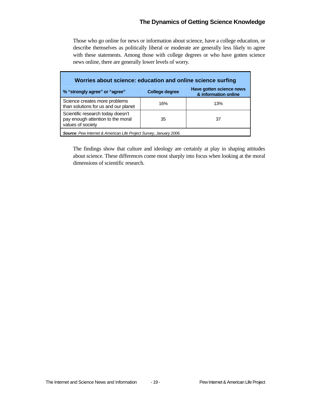### **The Dynamics of Getting Science Knowledge**

Those who go online for news or information about science, have a college education, or describe themselves as politically liberal or moderate are generally less likely to agree with these statements. Among those with college degrees or who have gotten science news online, there are generally lower levels of worry.

| Worries about science: education and online science surfing                                 |                       |                                                  |  |  |
|---------------------------------------------------------------------------------------------|-----------------------|--------------------------------------------------|--|--|
| % "strongly agree" or "agree"                                                               | <b>College degree</b> | Have gotten science news<br>& information online |  |  |
| Science creates more problems<br>than solutions for us and our planet                       | 16%                   | 13%                                              |  |  |
| Scientific research today doesn't<br>pay enough attention to the moral<br>values of society | 35                    | 37                                               |  |  |
| Source: Pew Internet & American Life Project Survey, January 2006.                          |                       |                                                  |  |  |

The findings show that culture and ideology are certainly at play in shaping attitudes about science. These differences come most sharply into focus when looking at the moral dimensions of scientific research.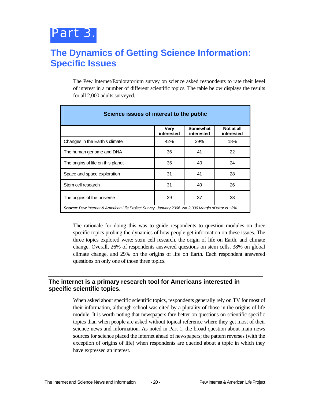# **The Dynamics of Getting Science Information: Specific Issues**

The Pew Internet/Exploratorium survey on science asked respondents to rate their level of interest in a number of different scientific topics. The table below displays the results for all 2,000 adults surveyed.

| Science issues of interest to the public                                                            |                    |                        |                          |  |
|-----------------------------------------------------------------------------------------------------|--------------------|------------------------|--------------------------|--|
|                                                                                                     | Very<br>interested | Somewhat<br>interested | Not at all<br>interested |  |
| Changes in the Earth's climate                                                                      | 42%                | 39%                    | 18%                      |  |
| The human genome and DNA                                                                            | 36                 | 41                     | 22                       |  |
| The origins of life on this planet                                                                  | 35                 | 40                     | 24                       |  |
| Space and space exploration                                                                         | 31                 | 41                     | 28                       |  |
| Stem cell research                                                                                  | 31                 | 40                     | 26                       |  |
| The origins of the universe                                                                         | 29                 | 37                     | 33                       |  |
| Source: Pew Internet & American Life Project Survey, January 2006. N= 2,000 Margin of error is ±3%. |                    |                        |                          |  |

The rationale for doing this was to guide respondents to question modules on three specific topics probing the dynamics of how people get information on these issues. The three topics explored were: stem cell research, the origin of life on Earth, and climate change. Overall, 26% of respondents answered questions on stem cells, 38% on global climate change, and 29% on the origins of life on Earth. Each respondent answered questions on only one of those three topics.

#### **The internet is a primary research tool for Americans interested in specific scientific topics.**

When asked about specific scientific topics, respondents generally rely on TV for most of their information, although school was cited by a plurality of those in the origins of life module. It is worth noting that newspapers fare better on questions on scientific specific topics than when people are asked without topical reference where they get most of their science news and information. As noted in Part 1, the broad question about main news sources for science placed the internet ahead of newspapers; the pattern reverses (with the exception of origins of life) when respondents are queried about a topic in which they have expressed an interest.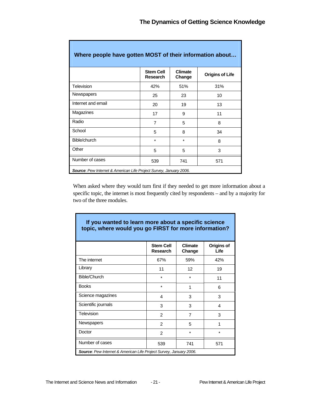T,

| Where people have gotten MOST of their information about                  |                                     |                          |                        |  |
|---------------------------------------------------------------------------|-------------------------------------|--------------------------|------------------------|--|
|                                                                           | <b>Stem Cell</b><br><b>Research</b> | <b>Climate</b><br>Change | <b>Origins of Life</b> |  |
| Television                                                                | 42%                                 | 51%                      | 31%                    |  |
| <b>Newspapers</b>                                                         | 25                                  | 23                       | 10                     |  |
| Internet and email                                                        | 20                                  | 19                       | 13                     |  |
| Magazines                                                                 | 17                                  | 9                        | 11                     |  |
| Radio                                                                     | 7                                   | 5                        | 8                      |  |
| School                                                                    | 5                                   | 8                        | 34                     |  |
| Bible/church                                                              | $\star$                             | $\star$                  | 8                      |  |
| Other                                                                     | 5                                   | 5                        | 3                      |  |
| Number of cases                                                           | 539                                 | 741                      | 571                    |  |
| <b>Source:</b> Pew Internet & American Life Project Survey, January 2006. |                                     |                          |                        |  |

Г

I

When asked where they would turn first if they needed to get more information about a specific topic, the internet is most frequently cited by respondents – and by a majority for two of the three modules.

| If you wanted to learn more about a specific science<br>topic, where would you go FIRST for more information? |                                     |                          |                    |
|---------------------------------------------------------------------------------------------------------------|-------------------------------------|--------------------------|--------------------|
|                                                                                                               | <b>Stem Cell</b><br><b>Research</b> | <b>Climate</b><br>Change | Origins of<br>Life |
| The internet                                                                                                  | 67%                                 | 59%                      | 42%                |
| Library                                                                                                       | 11                                  | 12                       | 19                 |
| Bible/Church                                                                                                  | $\ast$                              | $\star$                  | 11                 |
| <b>Books</b>                                                                                                  | $\star$                             | 1                        | 6                  |
| Science magazines                                                                                             | 4                                   | 3                        | 3                  |
| Scientific journals                                                                                           | 3                                   | 3                        | 4                  |
| Television                                                                                                    | $\mathfrak{p}$                      | $\overline{7}$           | 3                  |
| <b>Newspapers</b>                                                                                             | $\overline{2}$                      | 5                        | 1                  |
| Doctor                                                                                                        | $\mathfrak{p}$                      | $\star$                  | $\star$            |
| Number of cases                                                                                               | 539                                 | 741                      | 571                |
| Source: Pew Internet & American Life Project Survey, January 2006.                                            |                                     |                          |                    |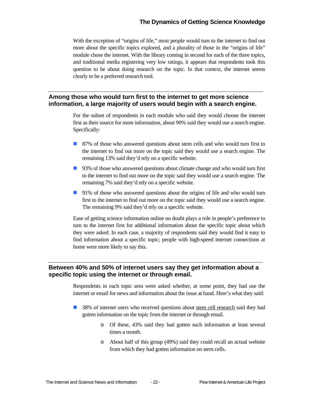With the exception of "origins of life," most people would turn to the internet to find out more about the specific topics explored, and a plurality of those in the "origins of life" module chose the internet. With the library coming in second for each of the three topics, and traditional media registering very low ratings, it appears that respondents took this question to be about doing research on the topic. In that context, the internet seems clearly to be a preferred research tool.

#### **Among those who would turn first to the internet to get more science information, a large majority of users would begin with a search engine.**

For the subset of respondents in each module who said they would choose the internet first as their source for more information, about 90% said they would use a search engine. Specifically:

- 87% of those who answered questions about stem cells and who would turn first to the internet to find out more on the topic said they would use a search engine. The remaining 13% said they'd rely on a specific website.
- 93% of those who answered questions about climate change and who would turn first to the internet to find out more on the topic said they would use a search engine. The remaining 7% said they'd rely on a specific website.
- 91% of those who answered questions about the origins of life and who would turn first to the internet to find out more on the topic said they would use a search engine. The remaining 9% said they'd rely on a specific website.

Ease of getting science information online no doubt plays a role in people's preference to turn to the internet first for additional information about the specific topic about which they were asked. In each case, a majority of respondents said they would find it easy to find information about a specific topic; people with high-speed internet connections at home were more likely to say this.

#### **Between 40% and 50% of internet users say they get information about a specific topic using the internet or through email.**

Respondents in each topic area were asked whether, at some point, they had use the internet or email for news and information about the issue at hand. Here's what they said:

- 38% of internet users who received questions about stem cell research said they had gotten information on the topic from the internet or through email.
	- o Of these, 43% said they had gotten such information at least several times a month.
	- o About half of this group (49%) said they could recall an actual website from which they had gotten information on stem cells.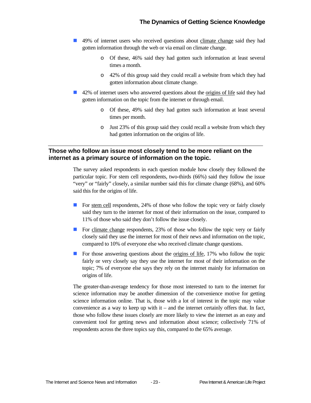- 49% of internet users who received questions about climate change said they had gotten information through the web or via email on climate change.
	- o Of these, 46% said they had gotten such information at least several times a month.
	- o 42% of this group said they could recall a website from which they had gotten information about climate change.
- 42% of internet users who answered questions about the origins of life said they had gotten information on the topic from the internet or through email.
	- o Of these, 49% said they had gotten such information at least several times per month.
	- o Just 23% of this group said they could recall a website from which they had gotten information on the origins of life.

#### **Those who follow an issue most closely tend to be more reliant on the internet as a primary source of information on the topic.**

The survey asked respondents in each question module how closely they followed the particular topic. For stem cell respondents, two-thirds (66%) said they follow the issue "very" or "fairly" closely, a similar number said this for climate change (68%), and 60% said this for the origins of life.

- For stem cell respondents,  $24\%$  of those who follow the topic very or fairly closely said they turn to the internet for most of their information on the issue, compared to 11% of those who said they don't follow the issue closely.
- **For climate change respondents, 23% of those who follow the topic very or fairly** closely said they use the internet for most of their news and information on the topic, compared to 10% of everyone else who received climate change questions.
- For those answering questions about the origins of life, 17% who follow the topic fairly or very closely say they use the internet for most of their information on the topic; 7% of everyone else says they rely on the internet mainly for information on origins of life.

The greater-than-average tendency for those most interested to turn to the internet for science information may be another dimension of the convenience motive for getting science information online. That is, those with a lot of interest in the topic may value convenience as a way to keep up with it – and the internet certainly offers that. In fact, those who follow these issues closely are more likely to view the internet as an easy and convenient tool for getting news and information about science; collectively 71% of respondents across the three topics say this, compared to the 65% average.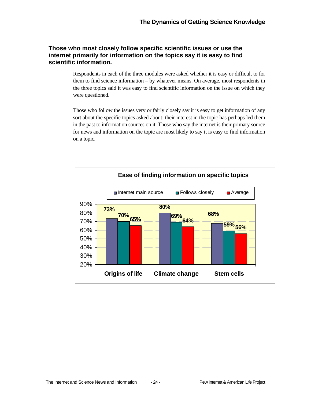#### **Those who most closely follow specific scientific issues or use the internet primarily for information on the topics say it is easy to find scientific information.**

Respondents in each of the three modules were asked whether it is easy or difficult to for them to find science information – by whatever means. On average, most respondents in the three topics said it was easy to find scientific information on the issue on which they were questioned.

Those who follow the issues very or fairly closely say it is easy to get information of any sort about the specific topics asked about; their interest in the topic has perhaps led them in the past to information sources on it. Those who say the internet is their primary source for news and information on the topic are most likely to say it is easy to find information on a topic.

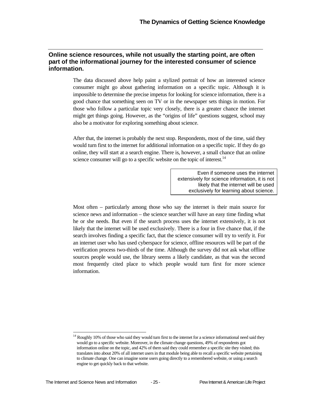#### **Online science resources, while not usually the starting point, are often part of the informational journey for the interested consumer of science information.**

The data discussed above help paint a stylized portrait of how an interested science consumer might go about gathering information on a specific topic. Although it is impossible to determine the precise impetus for looking for science information, there is a good chance that something seen on TV or in the newspaper sets things in motion. For those who follow a particular topic very closely, there is a greater chance the internet might get things going. However, as the "origins of life" questions suggest, school may also be a motivator for exploring something about science.

After that, the internet is probably the next stop. Respondents, most of the time, said they would turn first to the internet for additional information on a specific topic. If they do go online, they will start at a search engine. There is, however, a small chance that an online science consumer will go to a specific website on the topic of interest.<sup>14</sup>

> Even if someone uses the internet extensively for science information, it is not likely that the internet will be used exclusively for learning about science.

Most often – particularly among those who say the internet is their main source for science news and information – the science searcher will have an easy time finding what he or she needs. But even if the search process uses the internet extensively, it is not likely that the internet will be used exclusively. There is a four in five chance that, if the search involves finding a specific fact, that the science consumer will try to verify it. For an internet user who has used cyberspace for science, offline resources will be part of the verification process two-thirds of the time. Although the survey did not ask what offline sources people would use, the library seems a likely candidate, as that was the second most frequently cited place to which people would turn first for more science information.

1

 $14$  Roughly 10% of those who said they would turn first to the internet for a science informational need said they would go to a specific website. Moreover, in the climate change questions, 49% of respondents got information online on the topic, and 42% of them said they could remember a specific site they visited; this translates into about 20% of all internet users in that module being able to recall a specific website pertaining to climate change. One can imagine some users going directly to a remembered website, or using a search engine to get quickly back to that website.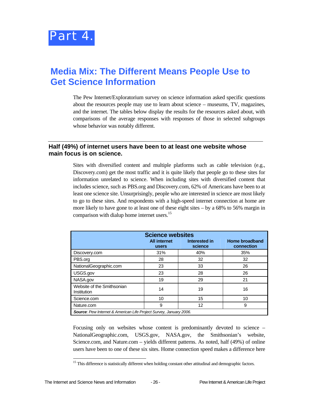

# **Media Mix: The Different Means People Use to Get Science Information**

The Pew Internet/Exploratorium survey on science information asked specific questions about the resources people may use to learn about science – museums, TV, magazines, and the internet. The tables below display the results for the resources asked about, with comparisons of the average responses with responses of those in selected subgroups whose behavior was notably different.

#### **Half (49%) of internet users have been to at least one website whose main focus is on science.**

Sites with diversified content and multiple platforms such as cable television (e.g., Discovery.com) get the most traffic and it is quite likely that people go to these sites for information unrelated to science. When including sites with diversified content that includes science, such as PBS.org and Discovery.com, 62% of Americans have been to at least one science site. Unsurprisingly, people who are interested in science are most likely to go to these sites. And respondents with a high-speed internet connection at home are more likely to have gone to at least one of these eight sites – by a 68% to 56% margin in comparison with dialup home internet users.<sup>15</sup>

| <b>Science websites</b>                                                   |                                     |                          |                              |  |
|---------------------------------------------------------------------------|-------------------------------------|--------------------------|------------------------------|--|
|                                                                           | <b>All internet</b><br><b>users</b> | Interested in<br>science | Home broadband<br>connection |  |
| Discovery.com                                                             | 31%                                 | 40%                      | 35%                          |  |
| PBS.org                                                                   | 28                                  | 32                       | 32                           |  |
| NationalGeographic.com                                                    | 23                                  | 33                       | 26                           |  |
| USGS.gov                                                                  | 23                                  | 28                       | 26                           |  |
| NASA.gov                                                                  | 19                                  | 29                       | 21                           |  |
| Website of the Smithsonian<br>Institution                                 | 14                                  | 19                       | 16                           |  |
| Science.com                                                               | 10                                  | 15                       | 10                           |  |
| Nature.com                                                                | 9                                   | 12                       | 9                            |  |
| <b>Source:</b> Pew Internet & American Life Project Survey, January 2006. |                                     |                          |                              |  |

Focusing only on websites whose content is predominantly devoted to science – NationalGeographic.com, USGS.gov, NASA.gov, the Smithsonian's website, Science.com, and Nature.com – yields different patterns. As noted, half (49%) of online users have been to one of these six sites. Home connection speed makes a difference here

l

<sup>&</sup>lt;sup>15</sup> This difference is statistically different when holding constant other attitudinal and demographic factors.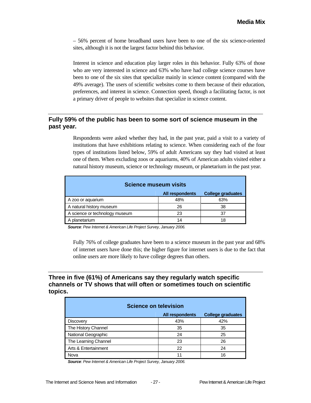– 56% percent of home broadband users have been to one of the six science-oriented sites, although it is not the largest factor behind this behavior.

Interest in science and education play larger roles in this behavior. Fully 63% of those who are very interested in science and 63% who have had college science courses have been to one of the six sites that specialize mainly in science content (compared with the 49% average). The users of scientific websites come to them because of their education, preferences, and interest in science. Connection speed, though a facilitating factor, is not a primary driver of people to websites that specialize in science content.

#### **Fully 59% of the public has been to some sort of science museum in the past year.**

Respondents were asked whether they had, in the past year, paid a visit to a variety of institutions that have exhibitions relating to science. When considering each of the four types of institutions listed below, 59% of adult Americans say they had visited at least one of them. When excluding zoos or aquariums, 40% of American adults visited either a natural history museum, science or technology museum, or planetarium in the past year.

| <b>Science museum visits</b>   |                        |                          |  |  |
|--------------------------------|------------------------|--------------------------|--|--|
|                                | <b>All respondents</b> | <b>College graduates</b> |  |  |
| A zoo or aquarium              | 48%                    | 63%                      |  |  |
| A natural history museum       | 26                     | 38                       |  |  |
| A science or technology museum | 23                     | 37                       |  |  |
| A planetarium                  | 14                     | 18                       |  |  |

*Source*: *Pew Internet & American Life Project Survey, January 2006.* 

Fully 76% of college graduates have been to a science museum in the past year and 68% of internet users have done this; the higher figure for internet users is due to the fact that online users are more likely to have college degrees than others.

#### **Three in five (61%) of Americans say they regularly watch specific channels or TV shows that will often or sometimes touch on scientific topics.**

| <b>Science on television</b>                       |     |     |  |  |
|----------------------------------------------------|-----|-----|--|--|
| <b>All respondents</b><br><b>College graduates</b> |     |     |  |  |
| <b>Discovery</b>                                   | 43% | 42% |  |  |
| The History Channel                                | 35  | 35  |  |  |
| National Geographic                                | 24  | 25  |  |  |
| The Learning Channel                               | 23  | 26  |  |  |
| Arts & Entertainment                               | 22  | 24  |  |  |
| Nova                                               | 11  | 16  |  |  |

*Source*: *Pew Internet & American Life Project Survey, January 2006.*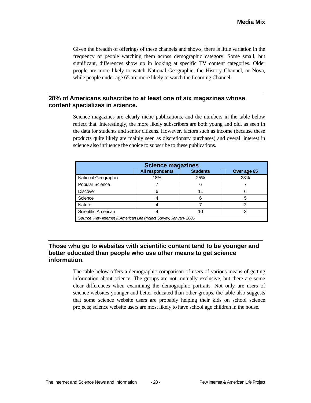Given the breadth of offerings of these channels and shows, there is little variation in the frequency of people watching them across demographic category. Some small, but significant, differences show up in looking at specific TV content categories. Older people are more likely to watch National Geographic, the History Channel, or Nova, while people under age 65 are more likely to watch the Learning Channel.

#### **28% of Americans subscribe to at least one of six magazines whose content specializes in science.**

Science magazines are clearly niche publications, and the numbers in the table below reflect that. Interestingly, the more likely subscribers are both young and old, as seen in the data for students and senior citizens. However, factors such as income (because these products quite likely are mainly seen as discretionary purchases) and overall interest in science also influence the choice to subscribe to these publications.

| <b>Science magazines</b>                                                  |                        |                 |             |  |
|---------------------------------------------------------------------------|------------------------|-----------------|-------------|--|
|                                                                           | <b>All respondents</b> | <b>Students</b> | Over age 65 |  |
| National Geographic                                                       | 18%                    | 25%             | 23%         |  |
| <b>Popular Science</b>                                                    |                        |                 |             |  |
| <b>Discover</b>                                                           |                        |                 |             |  |
| Science                                                                   |                        |                 |             |  |
| Nature                                                                    |                        |                 |             |  |
| Scientific American                                                       |                        | 10              |             |  |
| <b>Source:</b> Pew Internet & American Life Project Survey, January 2006. |                        |                 |             |  |

#### **Those who go to websites with scientific content tend to be younger and better educated than people who use other means to get science information.**

The table below offers a demographic comparison of users of various means of getting information about science. The groups are not mutually exclusive, but there are some clear differences when examining the demographic portraits. Not only are users of science websites younger and better educated than other groups, the table also suggests that some science website users are probably helping their kids on school science projects; science website users are most likely to have school age children in the house.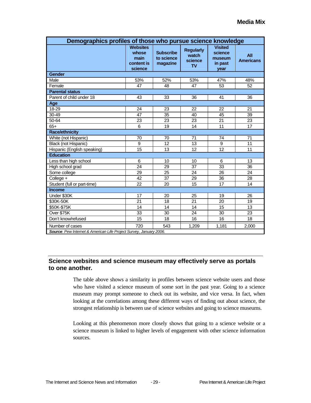| Demographics profiles of those who pursue science knowledge                           |                                                           |                                            |                                                   |                                                        |                         |  |
|---------------------------------------------------------------------------------------|-----------------------------------------------------------|--------------------------------------------|---------------------------------------------------|--------------------------------------------------------|-------------------------|--|
|                                                                                       | <b>Websites</b><br>whose<br>main<br>content is<br>science | <b>Subscribe</b><br>to science<br>magazine | <b>Regularly</b><br>watch<br>science<br><b>TV</b> | <b>Visited</b><br>science<br>museum<br>in past<br>year | All<br><b>Americans</b> |  |
| Gender                                                                                |                                                           |                                            |                                                   |                                                        |                         |  |
| Male                                                                                  | 53%                                                       | 52%                                        | 53%                                               | 47%                                                    | 48%                     |  |
| Female                                                                                | 47                                                        | 48                                         | 47                                                | 53                                                     | 52                      |  |
| <b>Parental status</b>                                                                |                                                           |                                            |                                                   |                                                        |                         |  |
| Parent of child under 18                                                              | 43                                                        | 33                                         | 36                                                | 41                                                     | 36                      |  |
| Age                                                                                   |                                                           |                                            |                                                   |                                                        |                         |  |
| 18-29                                                                                 | 24                                                        | 23                                         | 22                                                | 22                                                     | 21                      |  |
| 30-49                                                                                 | 47                                                        | 35                                         | 40                                                | 45                                                     | 39                      |  |
| $50 - 64$                                                                             | 23                                                        | 23                                         | 23                                                | 21                                                     | 23                      |  |
| $65+$                                                                                 | 6                                                         | 19                                         | 14                                                | 11                                                     | 17                      |  |
| <b>Race/ethnicity</b>                                                                 |                                                           |                                            |                                                   |                                                        |                         |  |
| White (not Hispanic)                                                                  | 70                                                        | 70                                         | 71                                                | 74                                                     | 71                      |  |
| Black (not Hispanic)                                                                  | 9                                                         | 12                                         | 13                                                | 9                                                      | 11                      |  |
| Hispanic (English speaking)                                                           | 15                                                        | 13                                         | 12                                                | 12                                                     | 11                      |  |
| <b>Education</b>                                                                      |                                                           |                                            |                                                   |                                                        |                         |  |
| Less than high school                                                                 | 6                                                         | 10                                         | 10                                                | 6                                                      | 13                      |  |
| High school grad                                                                      | 24                                                        | 29                                         | 37                                                | 33                                                     | 36                      |  |
| Some college                                                                          | 29                                                        | 25                                         | 24                                                | 26                                                     | 24                      |  |
| College +                                                                             | 42                                                        | 37                                         | 29                                                | 36                                                     | 28                      |  |
| Student (full or part-time)                                                           | 22                                                        | 20                                         | 15                                                | 17                                                     | 14                      |  |
| <b>Income</b>                                                                         |                                                           |                                            |                                                   |                                                        |                         |  |
| Under \$30K                                                                           | 17                                                        | 20                                         | 25                                                | 19                                                     | 26                      |  |
| \$30K-50K                                                                             | 21                                                        | 18                                         | 21                                                | 20                                                     | 19                      |  |
| \$50K-\$75K                                                                           | 14                                                        | 14                                         | 14                                                | 15                                                     | 13                      |  |
| Over \$75K                                                                            | $\overline{33}$                                           | $\overline{30}$                            | 24                                                | $\overline{30}$                                        | $\overline{23}$         |  |
| Don't know/refused                                                                    | 15                                                        | 18                                         | 16                                                | 16                                                     | 18                      |  |
| Number of cases<br>Source: Pew Internet & American Life Project Survey, January 2006. | 720                                                       | 543                                        | 1.209                                             | 1.181                                                  | 2,000                   |  |

#### **Science websites and science museum may effectively serve as portals to one another.**

The table above shows a similarity in profiles between science website users and those who have visited a science museum of some sort in the past year. Going to a science museum may prompt someone to check out its website, and vice versa. In fact, when looking at the correlations among these different ways of finding out about science, the strongest relationship is between use of science websites and going to science museums.

Looking at this phenomenon more closely shows that going to a science website or a science museum is linked to higher levels of engagement with other science information sources.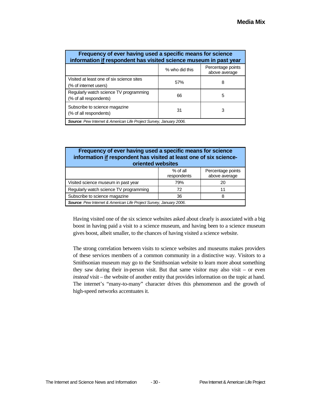| Frequency of ever having used a specific means for science<br>information if respondent has visited science museum in past year |                |                                    |  |  |  |
|---------------------------------------------------------------------------------------------------------------------------------|----------------|------------------------------------|--|--|--|
|                                                                                                                                 | % who did this | Percentage points<br>above average |  |  |  |
| Visited at least one of six science sites<br>(% of internet users)                                                              | 57%            | 8                                  |  |  |  |
| Regularly watch science TV programming<br>(% of all respondents)                                                                | 66             | 5                                  |  |  |  |
| Subscribe to science magazine<br>(% of all respondents)                                                                         | 31             | 3                                  |  |  |  |
| <b>Source:</b> Pew Internet & American Life Project Survey, January 2006.                                                       |                |                                    |  |  |  |

#### **Frequency of ever having used a specific means for science information if respondent has visited at least one of six scienceoriented websites**  % of all respondents Percentage points above average Visited science museum in past year **79%** 79% 20 Regularly watch science TV programming | 72 | 11 Subscribe to science magazine **36** 8

*Source*: *Pew Internet & American Life Project Survey, January 2006*.

Having visited one of the six science websites asked about clearly is associated with a big boost in having paid a visit to a science museum, and having been to a science museum gives boost, albeit smaller, to the chances of having visited a science website.

The strong correlation between visits to science websites and museums makes providers of these services members of a common community in a distinctive way. Visitors to a Smithsonian museum may go to the Smithsonian website to learn more about something they saw during their in-person visit. But that same visitor may also visit – or even *instead* visit – the website of another entity that provides information on the topic at hand. The internet's "many-to-many" character drives this phenomenon and the growth of high-speed networks accentuates it.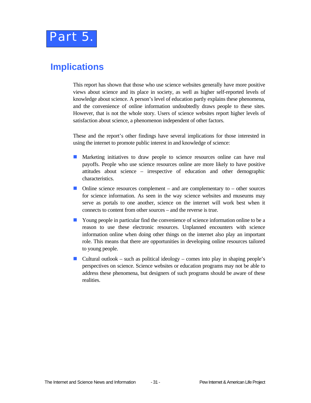

## **Implications**

This report has shown that those who use science websites generally have more positive views about science and its place in society, as well as higher self-reported levels of knowledge about science. A person's level of education partly explains these phenomena, and the convenience of online information undoubtedly draws people to these sites. However, that is not the whole story. Users of science websites report higher levels of satisfaction about science, a phenomenon independent of other factors.

These and the report's other findings have several implications for those interested in using the internet to promote public interest in and knowledge of science:

- **Marketing initiatives to draw people to science resources online can have real** payoffs. People who use science resources online are more likely to have positive attitudes about science – irrespective of education and other demographic characteristics.
- $\Box$  Online science resources complement and are complementary to other sources for science information. As seen in the way science websites and museums may serve as portals to one another, science on the internet will work best when it connects to content from other sources – and the reverse is true.
- **T** Young people in particular find the convenience of science information online to be a reason to use these electronic resources. Unplanned encounters with science information online when doing other things on the internet also play an important role. This means that there are opportunities in developing online resources tailored to young people.
- Cultural outlook such as political ideology comes into play in shaping people's perspectives on science. Science websites or education programs may not be able to address these phenomena, but designers of such programs should be aware of these realities.